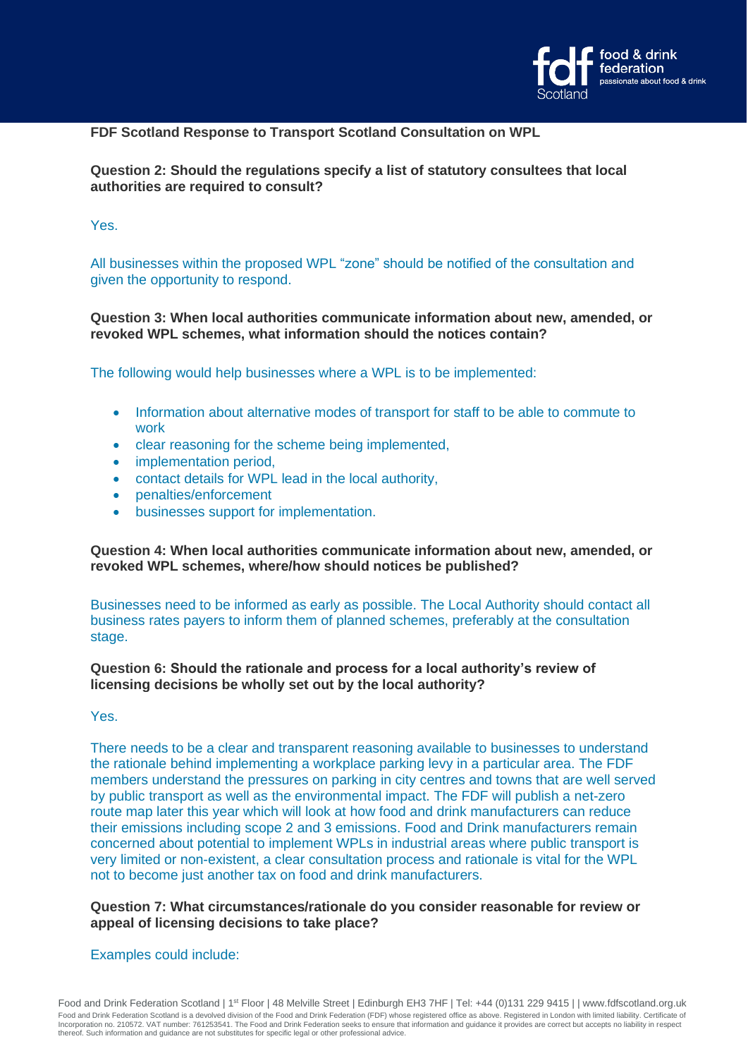

**FDF Scotland Response to Transport Scotland Consultation on WPL**

**Question 2: Should the regulations specify a list of statutory consultees that local authorities are required to consult?**

Yes.

All businesses within the proposed WPL "zone" should be notified of the consultation and given the opportunity to respond.

**Question 3: When local authorities communicate information about new, amended, or revoked WPL schemes, what information should the notices contain?** 

The following would help businesses where a WPL is to be implemented:

- Information about alternative modes of transport for staff to be able to commute to work
- clear reasoning for the scheme being implemented,
- implementation period.
- contact details for WPL lead in the local authority,
- penalties/enforcement
- businesses support for implementation.

**Question 4: When local authorities communicate information about new, amended, or revoked WPL schemes, where/how should notices be published?** 

Businesses need to be informed as early as possible. The Local Authority should contact all business rates payers to inform them of planned schemes, preferably at the consultation stage.

**Question 6: Should the rationale and process for a local authority's review of licensing decisions be wholly set out by the local authority?**

Yes.

There needs to be a clear and transparent reasoning available to businesses to understand the rationale behind implementing a workplace parking levy in a particular area. The FDF members understand the pressures on parking in city centres and towns that are well served by public transport as well as the environmental impact. The FDF will publish a net-zero route map later this year which will look at how food and drink manufacturers can reduce their emissions including scope 2 and 3 emissions. Food and Drink manufacturers remain concerned about potential to implement WPLs in industrial areas where public transport is very limited or non-existent, a clear consultation process and rationale is vital for the WPL not to become just another tax on food and drink manufacturers.

**Question 7: What circumstances/rationale do you consider reasonable for review or appeal of licensing decisions to take place?**

## Examples could include:

Food and Drink Federation Scotland | 1<sup>st</sup> Floor | 48 Melville Street | Edinburgh EH3 7HF | Tel: +44 (0)131 229 9415 | | www.fdfscotland.org.uk Food and Drink Federation Scotland is a devolved division of the Food and Drink Federation (FDF) whose registered office as above. Registered in London with limited liability. Certificate of Incorporation no. 210572. VAT number: 761253541. The Food and Drink Federation seeks to ensure that information and guidance it provides are correct but accepts no liability in respect but accepts no liability in respect thereof. Such information and guidance are not substitutes for specific legal or other professional advice.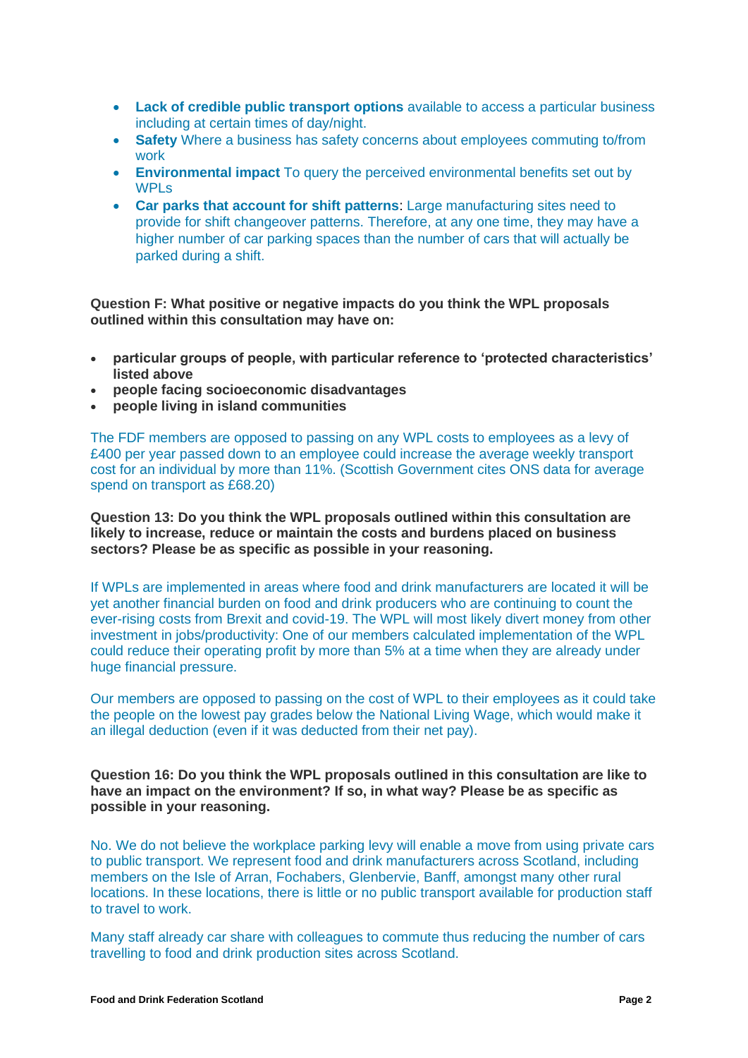- **Lack of credible public transport options** available to access a particular business including at certain times of day/night.
- **Safety** Where a business has safety concerns about employees commuting to/from work
- **Environmental impact** To query the perceived environmental benefits set out by WPL<sub>S</sub>
- **Car parks that account for shift patterns**: Large manufacturing sites need to provide for shift changeover patterns. Therefore, at any one time, they may have a higher number of car parking spaces than the number of cars that will actually be parked during a shift.

**Question F: What positive or negative impacts do you think the WPL proposals outlined within this consultation may have on:**

- **particular groups of people, with particular reference to 'protected characteristics' listed above**
- **people facing socioeconomic disadvantages**
- **people living in island communities**

The FDF members are opposed to passing on any WPL costs to employees as a levy of £400 per year passed down to an employee could increase the average weekly transport cost for an individual by more than 11%. (Scottish Government cites ONS data for average spend on transport as £68.20)

**Question 13: Do you think the WPL proposals outlined within this consultation are likely to increase, reduce or maintain the costs and burdens placed on business sectors? Please be as specific as possible in your reasoning.**

If WPLs are implemented in areas where food and drink manufacturers are located it will be yet another financial burden on food and drink producers who are continuing to count the ever-rising costs from Brexit and covid-19. The WPL will most likely divert money from other investment in jobs/productivity: One of our members calculated implementation of the WPL could reduce their operating profit by more than 5% at a time when they are already under huge financial pressure.

Our members are opposed to passing on the cost of WPL to their employees as it could take the people on the lowest pay grades below the National Living Wage, which would make it an illegal deduction (even if it was deducted from their net pay).

**Question 16: Do you think the WPL proposals outlined in this consultation are like to have an impact on the environment? If so, in what way? Please be as specific as possible in your reasoning.**

No. We do not believe the workplace parking levy will enable a move from using private cars to public transport. We represent food and drink manufacturers across Scotland, including members on the Isle of Arran, Fochabers, Glenbervie, Banff, amongst many other rural locations. In these locations, there is little or no public transport available for production staff to travel to work.

Many staff already car share with colleagues to commute thus reducing the number of cars travelling to food and drink production sites across Scotland.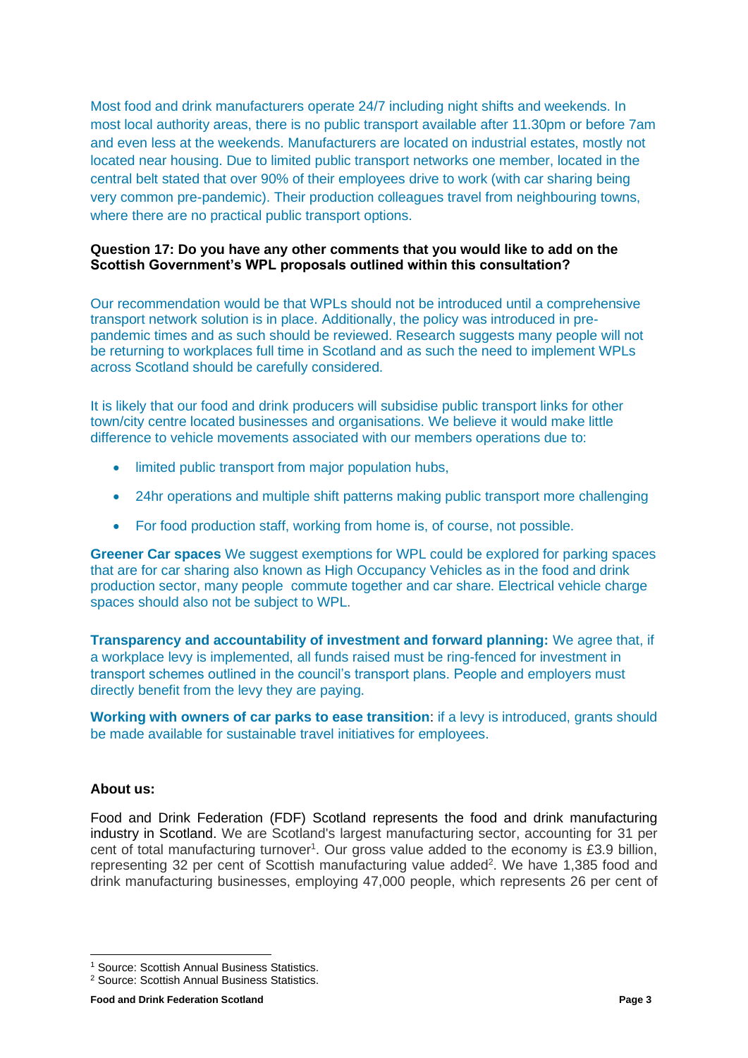Most food and drink manufacturers operate 24/7 including night shifts and weekends. In most local authority areas, there is no public transport available after 11.30pm or before 7am and even less at the weekends. Manufacturers are located on industrial estates, mostly not located near housing. Due to limited public transport networks one member, located in the central belt stated that over 90% of their employees drive to work (with car sharing being very common pre-pandemic). Their production colleagues travel from neighbouring towns, where there are no practical public transport options.

## **Question 17: Do you have any other comments that you would like to add on the Scottish Government's WPL proposals outlined within this consultation?**

Our recommendation would be that WPLs should not be introduced until a comprehensive transport network solution is in place. Additionally, the policy was introduced in prepandemic times and as such should be reviewed. Research suggests many people will not be returning to workplaces full time in Scotland and as such the need to implement WPLs across Scotland should be carefully considered.

It is likely that our food and drink producers will subsidise public transport links for other town/city centre located businesses and organisations. We believe it would make little difference to vehicle movements associated with our members operations due to:

- limited public transport from major population hubs,
- 24hr operations and multiple shift patterns making public transport more challenging
- For food production staff, working from home is, of course, not possible.

**Greener Car spaces** We suggest exemptions for WPL could be explored for parking spaces that are for car sharing also known as High Occupancy Vehicles as in the food and drink production sector, many people commute together and car share. Electrical vehicle charge spaces should also not be subject to WPL.

**Transparency and accountability of investment and forward planning:** We agree that, if a workplace levy is implemented, all funds raised must be ring-fenced for investment in transport schemes outlined in the council's transport plans. People and employers must directly benefit from the levy they are paying.

**Working with owners of car parks to ease transition**: if a levy is introduced, grants should be made available for sustainable travel initiatives for employees.

## **About us:**

Food and Drink Federation (FDF) Scotland represents the food and drink manufacturing industry in Scotland. We are Scotland's largest manufacturing sector, accounting for 31 per cent of total manufacturing turnover<sup>1</sup>. Our gross value added to the economy is £3.9 billion, representing 32 per cent of Scottish manufacturing value added<sup>2</sup>. We have 1,385 food and drink manufacturing businesses, employing 47,000 people, which represents 26 per cent of

<sup>1</sup> Source: Scottish Annual Business Statistics.

<sup>2</sup> Source: Scottish Annual Business Statistics.